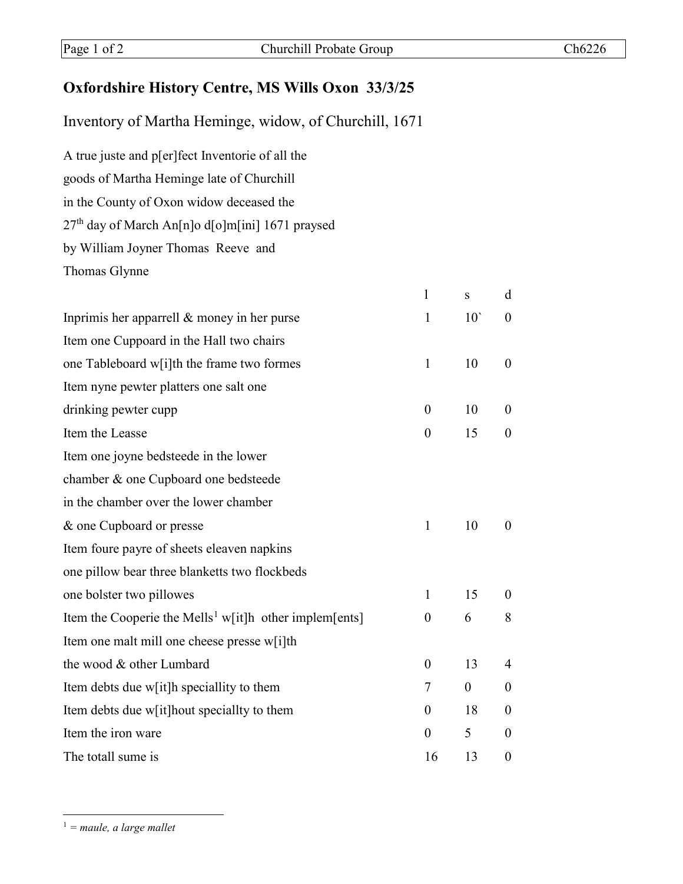## **Oxfordshire History Centre, MS Wills Oxon 33/3/25**

Inventory of Martha Heminge, widow, of Churchill, 1671

A true juste and p[er]fect Inventorie of all the goods of Martha Heminge late of Churchill in the County of Oxon widow deceased the 27th day of March An[n]o d[o]m[ini] 1671 praysed by William Joyner Thomas Reeve and Thomas Glynne

|                                                                    | $\mathbf{1}$     | S              | d                |
|--------------------------------------------------------------------|------------------|----------------|------------------|
| Inprimis her apparrell $&$ money in her purse                      | $\mathbf{1}$     | $10^{\circ}$   | $\boldsymbol{0}$ |
| Item one Cuppoard in the Hall two chairs                           |                  |                |                  |
| one Tableboard w[i]th the frame two formes                         | $\mathbf{1}$     | 10             | $\boldsymbol{0}$ |
| Item nyne pewter platters one salt one                             |                  |                |                  |
| drinking pewter cupp                                               | $\theta$         | 10             | $\theta$         |
| Item the Leasse                                                    | $\theta$         | 15             | $\theta$         |
| Item one joyne bedsteede in the lower                              |                  |                |                  |
| chamber & one Cupboard one bedsteede                               |                  |                |                  |
| in the chamber over the lower chamber                              |                  |                |                  |
| & one Cupboard or presse                                           | $\mathbf{1}$     | 10             | $\theta$         |
| Item foure payre of sheets eleaven napkins                         |                  |                |                  |
| one pillow bear three blanketts two flockbeds                      |                  |                |                  |
| one bolster two pillowes                                           | $\mathbf{1}$     | 15             | $\theta$         |
| Item the Cooperie the Mells <sup>1</sup> w[it]h other implem[ents] | $\boldsymbol{0}$ | 6              | 8                |
| Item one malt mill one cheese presse w[i]th                        |                  |                |                  |
| the wood & other Lumbard                                           | $\boldsymbol{0}$ | 13             | 4                |
| Item debts due w[it]h speciallity to them                          | 7                | $\overline{0}$ | $\theta$         |
| Item debts due w[it]hout speciallty to them                        | $\boldsymbol{0}$ | 18             | $\boldsymbol{0}$ |
| Item the iron ware                                                 | $\theta$         | 5              | $\theta$         |
| The totall sume is                                                 | 16               | 13             | $\overline{0}$   |

<span id="page-0-0"></span>1 *= maule, a large mallet*